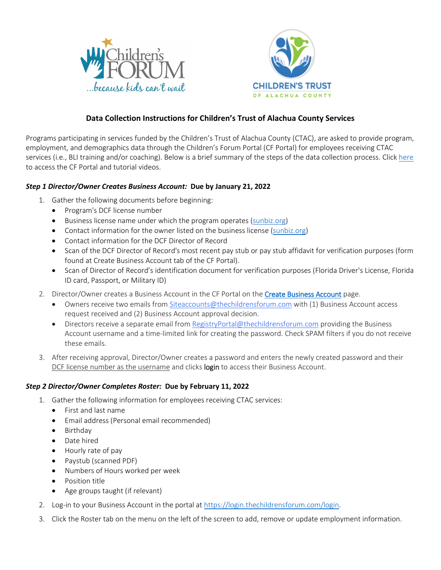



# **Data Collection Instructions for Children's Trust of Alachua County Services**

Programs participating in services funded by the Children's Trust of Alachua County (CTAC), are asked to provide program, employment, and demographics data through the Children's Forum Portal (CF Portal) for employees receiving CTAC services (i.e., BLI training and/or coaching). Below is a brief summary of the steps of the data collection process. Click [here](https://login.thechildrensforum.com/alachuactac) to access the CF Portal and tutorial videos.

### *Step 1 Director/Owner Creates Business Account:* **Due by January 21, 2022**

- 1. Gather the following documents before beginning:
	- Program's DCF license number
	- Business license name under which the program operates [\(sunbiz.org\)](http://www.sunbiz.org/)
	- Contact information for the owner listed on the business license [\(sunbiz.org\)](http://www.sunbiz.org/)
	- Contact information for the DCF Director of Record
	- Scan of the DCF Director of Record's most recent pay stub or pay stub affidavit for verification purposes (form found at Create Business Account tab of the CF Portal).
	- Scan of Director of Record's identification document for verification purposes (Florida Driver's License, Florida ID card, Passport, or Military ID)
- 2. Director/Owner creates a Business Account in the CF Portal on th[e Create Business Account](https://login.thechildrensforum.com/siteaccessrequest) page.
	- Owners receive two emails fro[m Siteaccounts@thechildrensforum.com](mailto:Siteaccounts@thechildrensforum.com) with (1) Business Account access request received and (2) Business Account approval decision.
	- Directors receive a separate email from [RegistryPortal@thechildrensforum.com](mailto:RegistryPortal@thechildrensforum.com) providing the Business Account username and a time-limited link for creating the password. Check SPAM filters if you do not receive these emails.
- 3. After receiving approval, Director/Owner creates a password and enters the newly created password and their DCF license number as the username and clicks login to access their Business Account.

## *Step 2 Director/Owner Completes Roster:* **Due by February 11, 2022**

- 1. Gather the following information for employees receiving CTAC services:
	- First and last name
	- Email address (Personal email recommended)
	- Birthday
	- Date hired
	- Hourly rate of pay
	- Paystub (scanned PDF)
	- Numbers of Hours worked per week
	- Position title
	- Age groups taught (if relevant)
- 2. Log-in to your Business Account in the portal at [https://login.thechildrensforum.com/login.](https://login.thechildrensforum.com/login)
- 3. Click the Roster tab on the menu on the left of the screen to add, remove or update employment information.